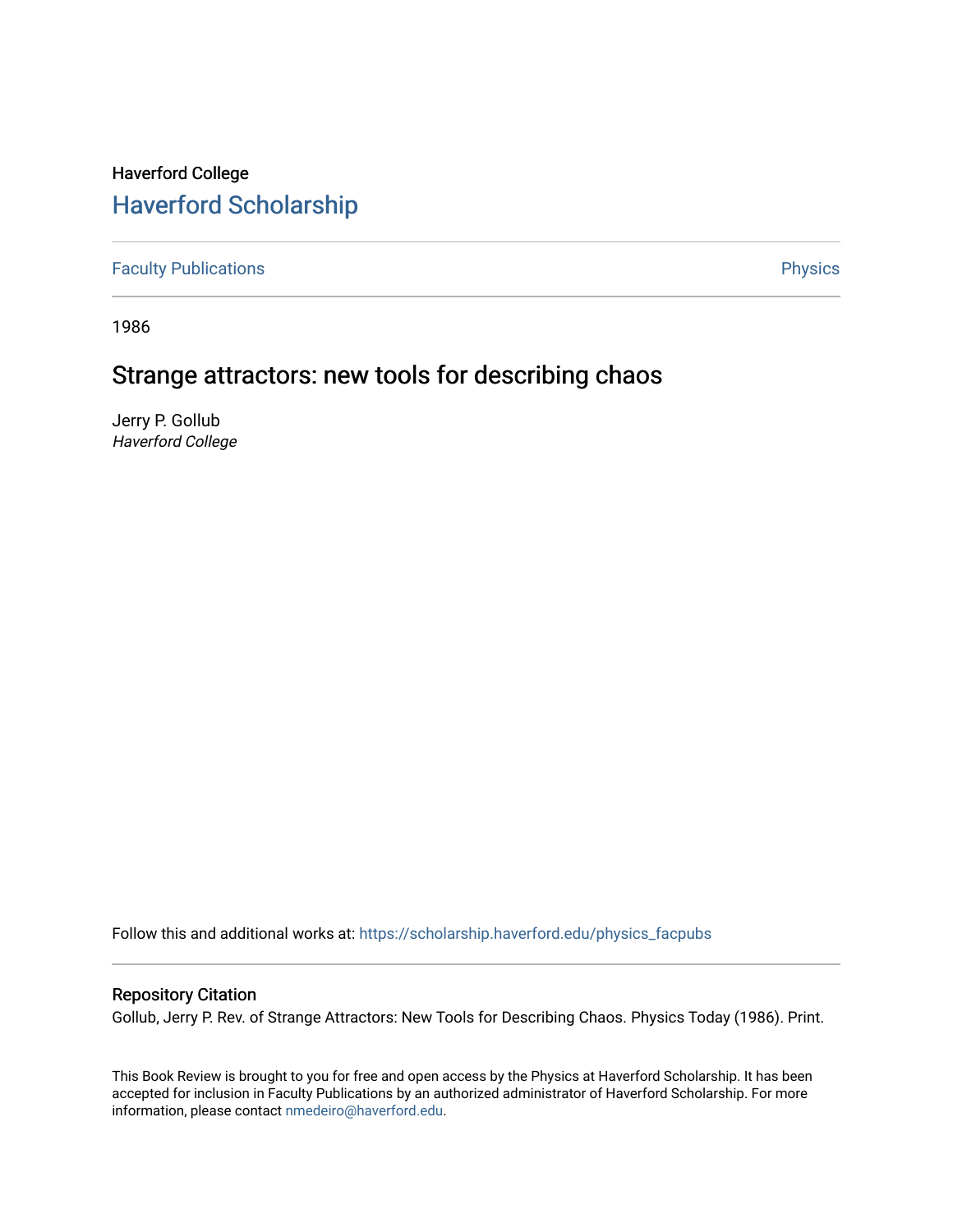# Haverford College [Haverford Scholarship](https://scholarship.haverford.edu/)

[Faculty Publications](https://scholarship.haverford.edu/physics_facpubs) **Physics** 

1986

# Strange attractors: new tools for describing chaos

Jerry P. Gollub Haverford College

Follow this and additional works at: [https://scholarship.haverford.edu/physics\\_facpubs](https://scholarship.haverford.edu/physics_facpubs?utm_source=scholarship.haverford.edu%2Fphysics_facpubs%2F81&utm_medium=PDF&utm_campaign=PDFCoverPages) 

## Repository Citation

Gollub, Jerry P. Rev. of Strange Attractors: New Tools for Describing Chaos. Physics Today (1986). Print.

This Book Review is brought to you for free and open access by the Physics at Haverford Scholarship. It has been accepted for inclusion in Faculty Publications by an authorized administrator of Haverford Scholarship. For more information, please contact [nmedeiro@haverford.edu.](mailto:nmedeiro@haverford.edu)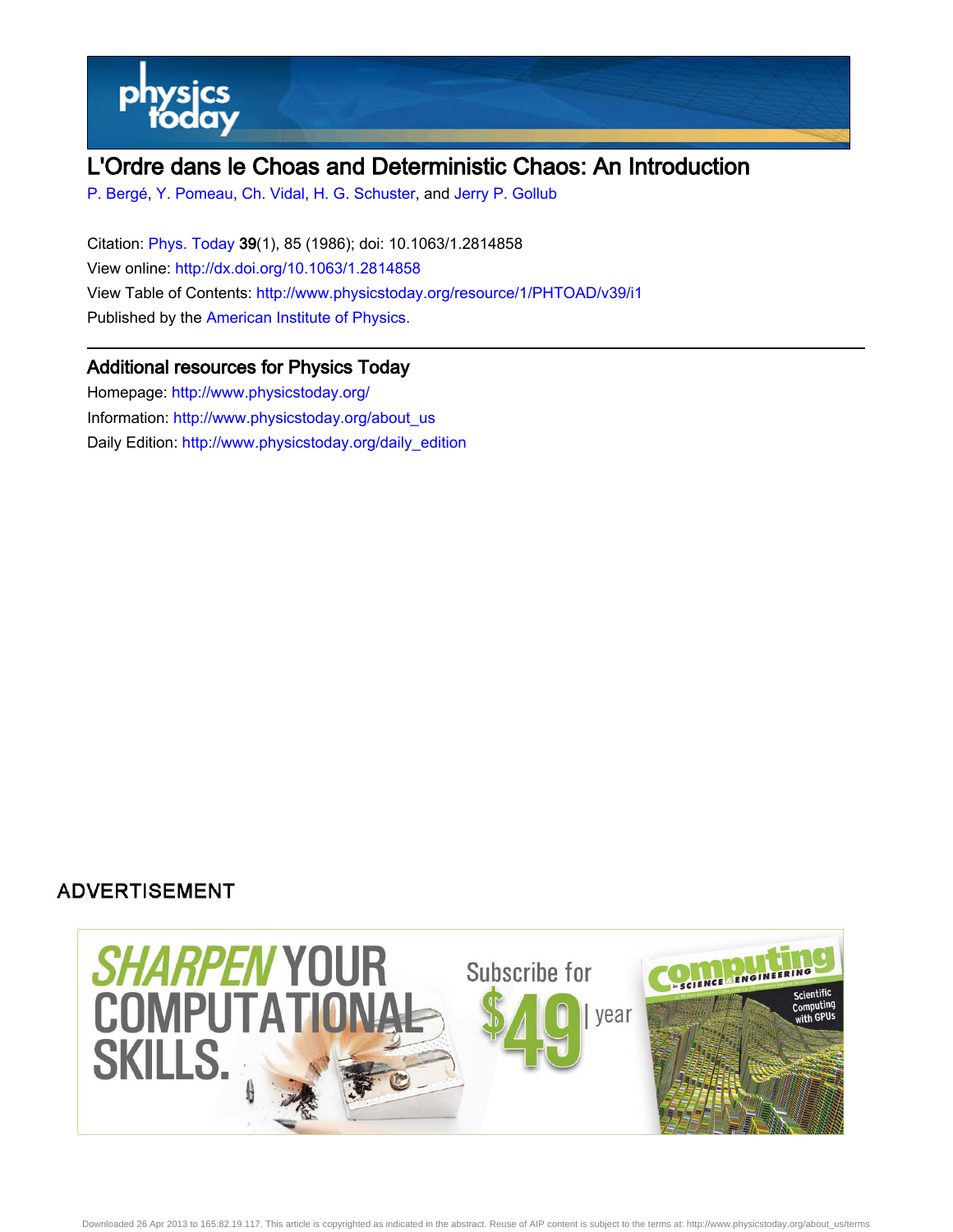

# L'Ordre dans le Choas and Deterministic Chaos: An Introduction

[P. Bergé,](http://www.physicstoday.org/search?sortby=newestdate&q=&searchzone=2&searchtype=searchin&faceted=faceted&key=AIP_ALL&possible1=P. Berg�&possible1zone=author&alias=&displayid=AIP&ver=pdfcov) [Y. Pomeau,](http://www.physicstoday.org/search?sortby=newestdate&q=&searchzone=2&searchtype=searchin&faceted=faceted&key=AIP_ALL&possible1=Y. Pomeau&possible1zone=author&alias=&displayid=AIP&ver=pdfcov) [Ch. Vidal,](http://www.physicstoday.org/search?sortby=newestdate&q=&searchzone=2&searchtype=searchin&faceted=faceted&key=AIP_ALL&possible1=Ch. Vidal&possible1zone=author&alias=&displayid=AIP&ver=pdfcov) [H. G. Schuster,](http://www.physicstoday.org/search?sortby=newestdate&q=&searchzone=2&searchtype=searchin&faceted=faceted&key=AIP_ALL&possible1=H. G. Schuster&possible1zone=author&alias=&displayid=AIP&ver=pdfcov) and [Jerry P. Gollub](http://www.physicstoday.org/search?sortby=newestdate&q=&searchzone=2&searchtype=searchin&faceted=faceted&key=AIP_ALL&possible1=Jerry P. Gollub&possible1zone=author&alias=&displayid=AIP&ver=pdfcov)

Citation: [Phys. Today 3](http://www.physicstoday.org/?ver=pdfcov)9(1), 85 (1986); doi: 10.1063/1.2814858 View online: [http://dx.doi.org/10.1063/1.2814858](http://link.aip.org/link/doi/10.1063/1.2814858?ver=pdfcov) View Table of Contents: [http://www.physicstoday.org/resource/1/PHTOAD/v39/i1](http://www.physicstoday.org/resource/1/PHTOAD/v39/i1?ver=pdfcov) Published by the [American Institute of Physics.](http://www.aip.org/?ver=pdfcov)

## Additional resources for Physics Today

Homepage: [http://www.physicstoday.org/](http://www.physicstoday.org/?ver=pdfcov) Information: [http://www.physicstoday.org/about\\_us](http://www.physicstoday.org/about_us?ver=pdfcov) Daily Edition: [http://www.physicstoday.org/daily\\_edition](http://www.physicstoday.org/daily_edition?ver=pdfcov)

## **ADVERTISEMENT**

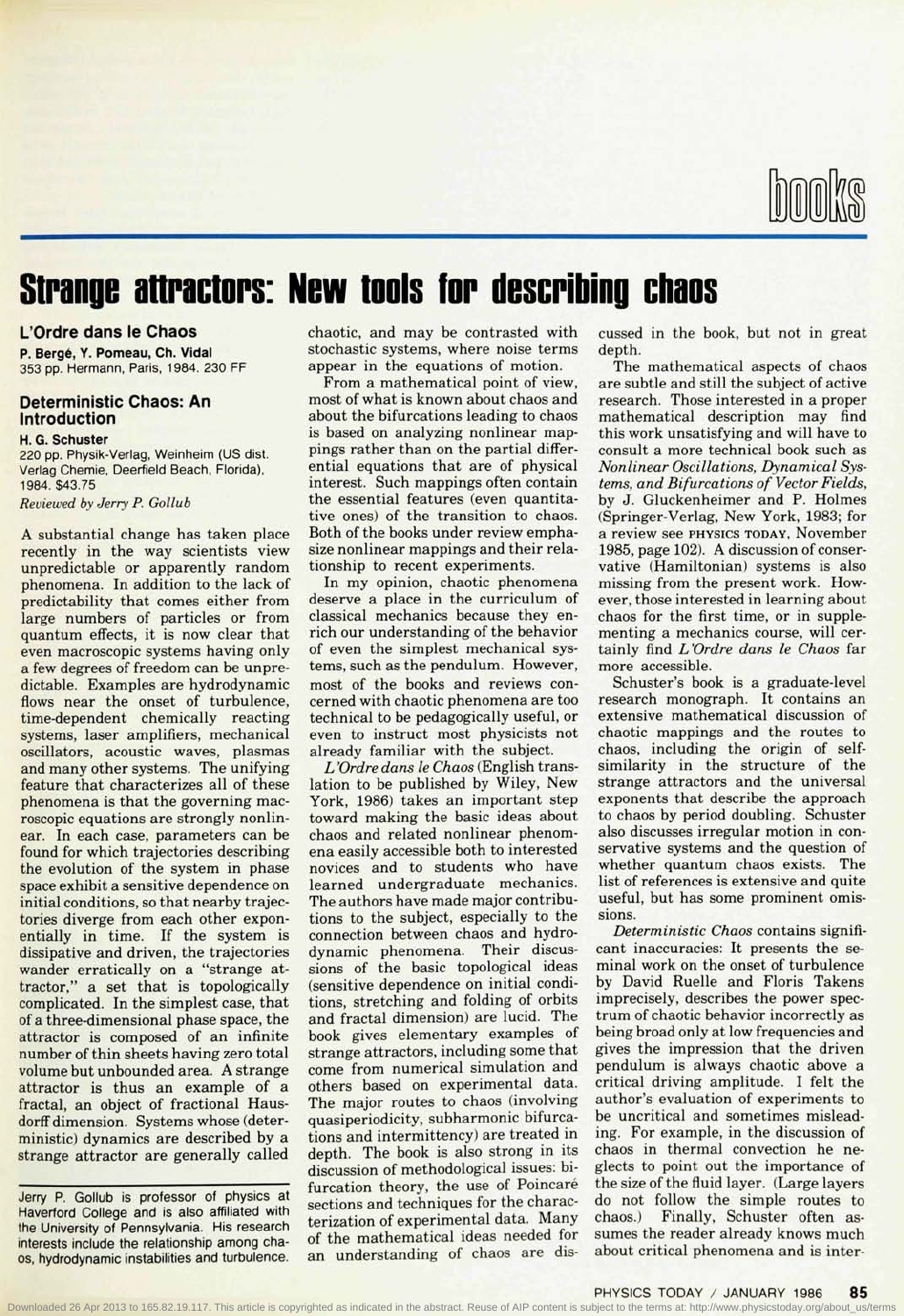

# **Strange atlractors: New tools for describing chaos**

### **L'Ordre dans le Chaos**

**P. Berge, Y. Pomeau, Ch. Vidal** 353 pp. Hermann, Paris, 1984. 230 FF

### **Deterministic Chaos: An Introduction**

#### **H. G. Schuster** 220 pp. Physik-Verlag, Weinheim (US dist. Verlag Chemie, Deerfield Beach, Florida), 1984. \$43.75

Reviewed by Jerry P. Gollub

A substantial change has taken place recently in the way scientists view unpredictable or apparently random phenomena. In addition to the lack of predictability that comes either from large numbers of particles or from quantum effects, it is now clear that even macroscopic systems having only a few degrees of freedom can be unpredictable. Examples are hydrodynamic flows near the onset of turbulence, time-dependent chemically reacting systems, laser amplifiers, mechanical oscillators, acoustic waves, plasmas and many other systems. The unifying feature that characterizes all of these phenomena is that the governing macroscopic equations are strongly nonlinear. In each case, parameters can be found for which trajectories describing the evolution of the system in phase space exhibit a sensitive dependence on initial conditions, so that nearby trajectories diverge from each other exponentially in time. If the system is dissipative and driven, the trajectories wander erratically on a "strange attractor," a set that is topologically complicated. In the simplest case, that complicated. In the simplest case, that of a three-dimensional phase space, the attractor is composed of an infinite number of thin sheets having zero total volume but unbounded area. A strange attractor is thus an example of a fractal, an object of fractional Hausdorff dimension. Systems whose (deterministic) dynamics are described by a<br>strange attractor are generally called

Jerry P. Gollub is professor of physics at Haverford College and is also affiliated with the University of Pennsylvania. His research interests include the relationship among chaos, hydrodynamic instabilities and turbulence.

chaotic, and may be contrasted with stochastic systems, where noise terms appear in the equations of motion.

From a mathematical point of view, most of what is known about chaos and about the bifurcations leading to chaos is based on analyzing nonlinear mappings rather than on the partial differential equations that are of physical interest. Such mappings often contain the essential features (even quantitative ones) of the transition to chaos. Both of the books under review emphasize nonlinear mappings and their relationship to recent experiments.

In my opinion, chaotic phenomena deserve a place in the curriculum of classical mechanics because they enrich our understanding of the behavior of even the simplest mechanical systems, such as the pendulum. However, most of the books and reviews concerned with chaotic phenomena are too technical to be pedagogically useful, or even to instruct most physicists not already familiar with the subject.

*L 'Ordre dans le Chaos* (English translation to be published by Wiley, New York, 1986) takes an important step toward making the basic ideas about chaos and related nonlinear phenomena easily accessible both to interested novices and to students who have learned undergraduate mechanics. The authors have made major contributions to the subject, especially to the connection between chaos and hydrodynamic phenomena. Their discussions of the basic topological ideas (sensitive dependence on initial conditions, stretching and folding of orbits and fractal dimension) are lucid. The book gives elementary examples of strange attractors, including some that come from numerical simulation and others based on experimental data. The major routes to chaos (involving quasiperiodicity, subharmonic bifurcations and intermittency) are treated in depth. The book is also strong in its discussion of methodological issues: bidiscussion of methodological issues. Br surcation theory, the use of Following sections and techniques for the characterization of experimental data. Many of the mathematical ideas needed for an understanding of chaos are dis-

cussed in the book, but not in great depth.

The mathematical aspects of chaos are subtle and still the subject of active research. Those interested in a proper mathematical description may find this work unsatisfying and will have to consult a more technical book such as *Nonlinear Oscillations, Dynamical Systems, and Bifurcations of Vector Fields,* by J. Gluckenheimer and P. Holmes (Springer-Verlag, New York, 1983; for a review see PHYSICS TODAY, November 1985, page 102). A discussion of conservative (Hamiltonian) systems is also missing from the present work. However, those interested in learning about chaos for the first time, or in supplementing a mechanics course, will certainly find *L'Ordre dans le Chaos* far more accessible.

Schuster's book is a graduate-level research monograph. It contains an extensive mathematical discussion of chaotic mappings and the routes to chaos, including the origin of selfsimilarity in the structure of the strange attractors and the universal exponents that describe the approach to chaos by period doubling. Schuster also discusses irregular motion in conservative systems and the question of whether quantum chaos exists. The list of references is extensive and quite useful, but has some prominent omissions.

*Deterministic Chaos* contains significant inaccuracies: It presents the seminal work on the onset of turbulence by David Ruelle and Floris Takens imprecisely, describes the power spectrum of chaotic behavior incorrectly as being broad only at low frequencies and gives the impression that the driven pendulum is always chaotic above a critical driving amplitude. I felt the author's evaluation of experiments to be uncritical and sometimes misleading. For example, in the discussion of chaos in thermal convection he neglects to point out the importance of the size of the fluid layer. (Large layers do not follow the simple routes to chaos.) Finally, Schuster often assumes the reader already knows much about critical phenomena and is inter-

PHYSICS TODAY / JANUARY 1986 **85**